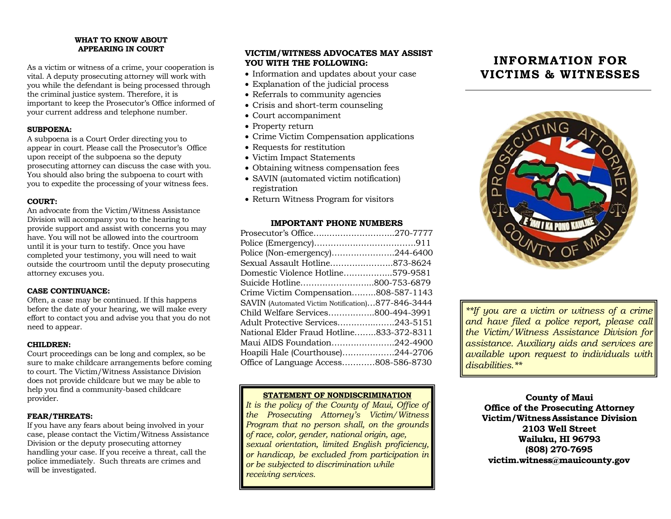#### **WHAT TO KNOW ABOUT APPEARING IN COURT**

As a victim or witness of a crime, your cooperation is vital. A deputy prosecuting attorney will work with you while the defendant is being processed through the criminal justice system. Therefore, it is important to keep the Prosecutor's Office informed of your current address and telephone number.

#### **SUBPOENA:**

A subpoena is a Court Order directing you to appear in court. Please call the Prosecutor's Office upon receipt of the subpoena so the deputy prosecuting attorney can discuss the case with you. You should also bring the subpoena to court with you to expedite the processing of your witness fees.

#### **COURT:**

An advocate from the Victim/Witness Assistance Division will accompany you to the hearing to provide support and assist with concerns you may have. You will not be allowed into the courtroom until it is your turn to testify. Once you have completed your testimony, you will need to wait outside the courtroom until the deputy prosecuting attorney excuses you.

#### **CASE CONTINUANCE:**

Often, a case may be continued. If this happens before the date of your hearing, we will make every effort to contact you and advise you that you do not need to appear.

#### **CHILDREN:**

Court proceedings can be long and complex, so be sure to make childcare arrangements before coming to court. The Victim/Witness Assistance Division does not provide childcare but we may be able to help you find a community-based childcare provider.

#### **FEAR/THREATS:**

If you have any fears about being involved in your case, please contact the Victim/Witness Assistance Division or the deputy prosecuting attorney handling your case. If you receive a threat, call the police immediately. Such threats are crimes and will be investigated.

### **VICTIM/WITNESS ADVOCATES MAY ASSIST YOU WITH THE FOLLOWING:**

- Information and updates about your case
- Explanation of the judicial process
- Referrals to community agencies
- Crisis and short-term counseling
- Court accompaniment
- Property return
- Crime Victim Compensation applications
- Requests for restitution
- Victim Impact Statements
- Obtaining witness compensation fees
- SAVIN (automated victim notification) registration
- Return Witness Program for visitors

#### **IMPORTANT PHONE NUMBERS**

| Prosecutor's Office270-7777                       |  |
|---------------------------------------------------|--|
|                                                   |  |
| Police (Non-emergency)244-6400                    |  |
| Sexual Assault Hotline873-8624                    |  |
| Domestic Violence Hotline579-9581                 |  |
| Suicide Hotline800-753-6879                       |  |
| Crime Victim Compensation808-587-1143             |  |
| SAVIN (Automated Victim Notification)877-846-3444 |  |
| Child Welfare Services800-494-3991                |  |
| Adult Protective Services243-5151                 |  |
| National Elder Fraud Hotline833-372-8311          |  |
| Maui AIDS Foundation242-4900                      |  |
| Hoapili Hale (Courthouse)244-2706                 |  |
| Office of Language Access808-586-8730             |  |
|                                                   |  |

#### **STATEMENT OF NONDISCRIMINATION**

*It is the policy of the County of Maui, Office of the Prosecuting Attorney's Victim/Witness Program that no person shall, on the grounds of race, color, gender, national origin, age, sexual orientation, limited English proficiency, or handicap, be excluded from participation in or be subjected to discrimination while receiving services.*

# **INFORMATION FOR VICTIMS & WITNESSES**



*\*\*If you are a victim or witness of a crime and have filed a police report, please call the Victim/Witness Assistance Division for assistance. Auxiliary aids and services are available upon request to individuals with disabilities.\*\**

**County of Maui Office of the Prosecuting Attorney Victim/WitnessAssistance Division 2103 Well Street Wailuku, HI 96793 (808) 270-7695 victim.witness@mauicounty.gov**